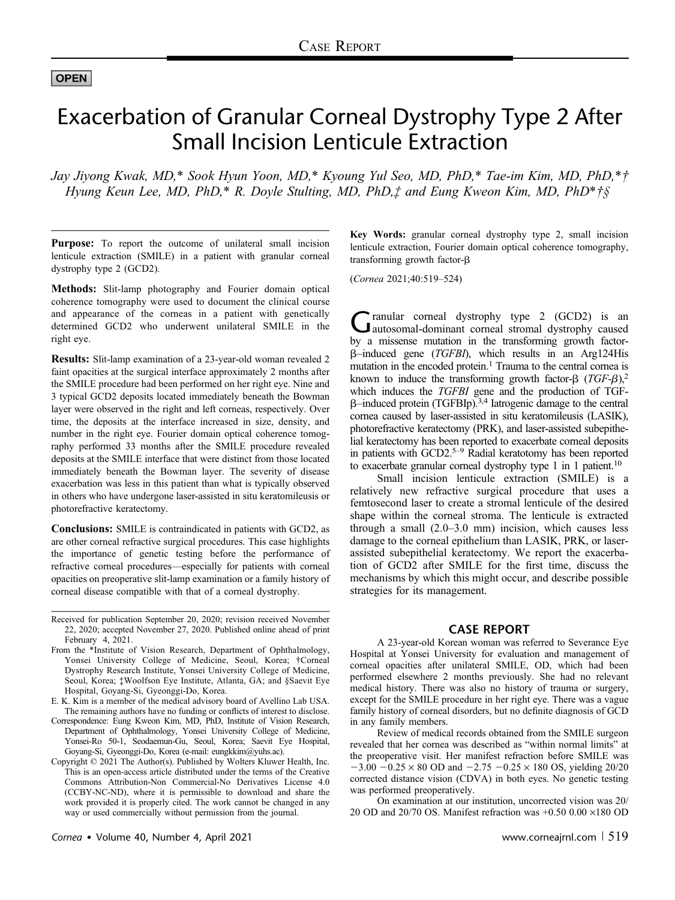## OPEN

# Exacerbation of Granular Corneal Dystrophy Type 2 After Small Incision Lenticule Extraction

Jay Jiyong Kwak, MD,\* Sook Hyun Yoon, MD,\* Kyoung Yul Seo, MD, PhD,\* Tae-im Kim, MD, PhD,\*† Hyung Keun Lee, MD, PhD,\* R. Doyle Stulting, MD, PhD, $\ddagger$  and Eung Kweon Kim, MD, PhD\* $\ddagger$ §

Purpose: To report the outcome of unilateral small incision lenticule extraction (SMILE) in a patient with granular corneal dystrophy type 2 (GCD2).

Methods: Slit-lamp photography and Fourier domain optical coherence tomography were used to document the clinical course and appearance of the corneas in a patient with genetically determined GCD2 who underwent unilateral SMILE in the right eye.

Results: Slit-lamp examination of a 23-year-old woman revealed 2 faint opacities at the surgical interface approximately 2 months after the SMILE procedure had been performed on her right eye. Nine and 3 typical GCD2 deposits located immediately beneath the Bowman layer were observed in the right and left corneas, respectively. Over time, the deposits at the interface increased in size, density, and number in the right eye. Fourier domain optical coherence tomography performed 33 months after the SMILE procedure revealed deposits at the SMILE interface that were distinct from those located immediately beneath the Bowman layer. The severity of disease exacerbation was less in this patient than what is typically observed in others who have undergone laser-assisted in situ keratomileusis or photorefractive keratectomy.

Conclusions: SMILE is contraindicated in patients with GCD2, as are other corneal refractive surgical procedures. This case highlights the importance of genetic testing before the performance of refractive corneal procedures—especially for patients with corneal opacities on preoperative slit-lamp examination or a family history of corneal disease compatible with that of a corneal dystrophy.

Received for publication September 20, 2020; revision received November 22, 2020; accepted November 27, 2020. Published online ahead of print February 4, 2021.

- From the \*Institute of Vision Research, Department of Ophthalmology, Yonsei University College of Medicine, Seoul, Korea; †Corneal Dystrophy Research Institute, Yonsei University College of Medicine, Seoul, Korea; ‡Woolfson Eye Institute, Atlanta, GA; and §Saevit Eye Hospital, Goyang-Si, Gyeonggi-Do, Korea.
- E. K. Kim is a member of the medical advisory board of Avellino Lab USA. The remaining authors have no funding or conflicts of interest to disclose.
- Correspondence: Eung Kweon Kim, MD, PhD, Institute of Vision Research, Department of Ophthalmology, Yonsei University College of Medicine, Yonsei-Ro 50-1, Seodaemun-Gu, Seoul, Korea; Saevit Eye Hospital, Goyang-Si, Gyeonggi-Do, Korea (e-mail: [eungkkim@yuhs.ac](mailto:eungkkim@yuhs.ac)).
- Copyright © 2021 The Author(s). Published by Wolters Kluwer Health, Inc. This is an open-access article distributed under the terms of the [Creative](http://creativecommons.org/licenses/by-nc-nd/4.0/) [Commons Attribution-Non Commercial-No Derivatives License 4.0](http://creativecommons.org/licenses/by-nc-nd/4.0/) [\(CCBY-NC-ND\)](http://creativecommons.org/licenses/by-nc-nd/4.0/), where it is permissible to download and share the work provided it is properly cited. The work cannot be changed in any way or used commercially without permission from the journal.

Key Words: granular corneal dystrophy type 2, small incision lenticule extraction, Fourier domain optical coherence tomography, transforming growth factor- $\beta$ 

(Cornea 2021;40:519–524)

Granular corneal dystrophy type 2 (GCD2) is an autosomal-dominant corneal stromal dystrophy caused by a missense mutation in the transforming growth factorb–induced gene (TGFBI), which results in an Arg124His mutation in the encoded protein.<sup>1</sup> Trauma to the central cornea is known to induce the transforming growth factor- $\beta$  (TGF- $\beta$ ),<sup>2</sup> which induces the TGFBI gene and the production of TGF- $\beta$ –induced protein (TGFBIp).<sup>3,4</sup> Iatrogenic damage to the central cornea caused by laser-assisted in situ keratomileusis (LASIK), photorefractive keratectomy (PRK), and laser-assisted subepithelial keratectomy has been reported to exacerbate corneal deposits in patients with  $GCD2$ <sup>5–9</sup> Radial keratotomy has been reported to exacerbate granular corneal dystrophy type 1 in 1 patient.<sup>10</sup>

Small incision lenticule extraction (SMILE) is a relatively new refractive surgical procedure that uses a femtosecond laser to create a stromal lenticule of the desired shape within the corneal stroma. The lenticule is extracted through a small (2.0–3.0 mm) incision, which causes less damage to the corneal epithelium than LASIK, PRK, or laserassisted subepithelial keratectomy. We report the exacerbation of GCD2 after SMILE for the first time, discuss the mechanisms by which this might occur, and describe possible strategies for its management.

### CASE REPORT

A 23-year-old Korean woman was referred to Severance Eye Hospital at Yonsei University for evaluation and management of corneal opacities after unilateral SMILE, OD, which had been performed elsewhere 2 months previously. She had no relevant medical history. There was also no history of trauma or surgery, except for the SMILE procedure in her right eye. There was a vague family history of corneal disorders, but no definite diagnosis of GCD in any family members.

Review of medical records obtained from the SMILE surgeon revealed that her cornea was described as "within normal limits" at the preoperative visit. Her manifest refraction before SMILE was  $-3.00 - 0.25 \times 80$  OD and  $-2.75 - 0.25 \times 180$  OS, yielding 20/20 corrected distance vision (CDVA) in both eyes. No genetic testing was performed preoperatively.

On examination at our institution, uncorrected vision was 20/ 20 OD and 20/70 OS. Manifest refraction was  $+0.50$  0.00  $\times$ 180 OD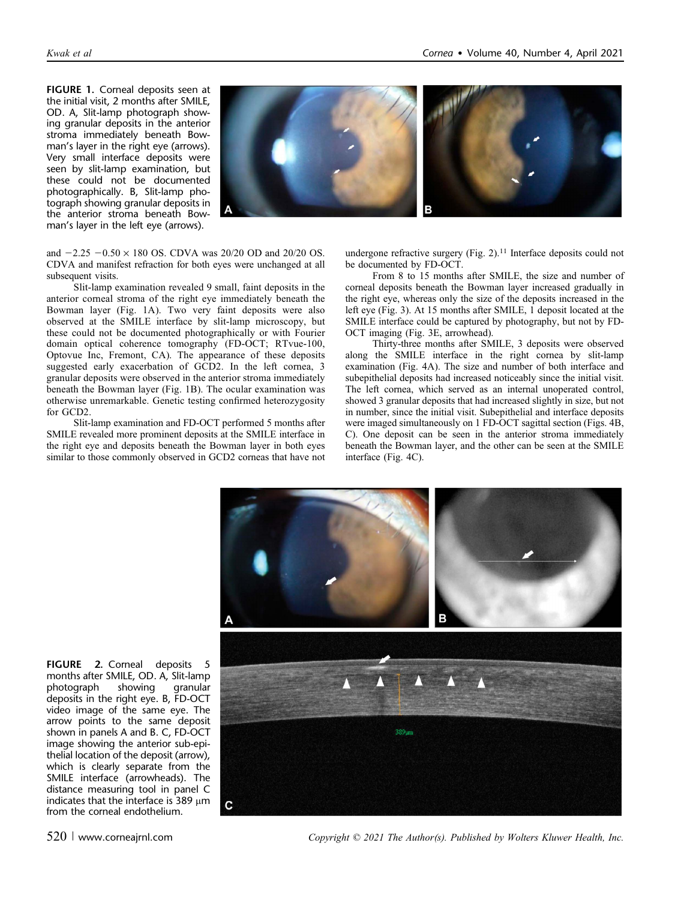FIGURE 1. Corneal deposits seen at the initial visit, 2 months after SMILE, OD. A, Slit-lamp photograph showing granular deposits in the anterior stroma immediately beneath Bowman's layer in the right eye (arrows). Very small interface deposits were seen by slit-lamp examination, but these could not be documented photographically. B, Slit-lamp photograph showing granular deposits in the anterior stroma beneath Bowman's layer in the left eye (arrows).



and  $-2.25 - 0.50 \times 180$  OS. CDVA was 20/20 OD and 20/20 OS. CDVA and manifest refraction for both eyes were unchanged at all subsequent visits.

Slit-lamp examination revealed 9 small, faint deposits in the anterior corneal stroma of the right eye immediately beneath the Bowman layer (Fig. 1A). Two very faint deposits were also observed at the SMILE interface by slit-lamp microscopy, but these could not be documented photographically or with Fourier domain optical coherence tomography (FD-OCT; RTvue-100, Optovue Inc, Fremont, CA). The appearance of these deposits suggested early exacerbation of GCD2. In the left cornea, 3 granular deposits were observed in the anterior stroma immediately beneath the Bowman layer (Fig. 1B). The ocular examination was otherwise unremarkable. Genetic testing confirmed heterozygosity for GCD2.

Slit-lamp examination and FD-OCT performed 5 months after SMILE revealed more prominent deposits at the SMILE interface in the right eye and deposits beneath the Bowman layer in both eyes similar to those commonly observed in GCD2 corneas that have not

undergone refractive surgery (Fig. 2).<sup>11</sup> Interface deposits could not be documented by FD-OCT.

From 8 to 15 months after SMILE, the size and number of corneal deposits beneath the Bowman layer increased gradually in the right eye, whereas only the size of the deposits increased in the left eye (Fig. 3). At 15 months after SMILE, 1 deposit located at the SMILE interface could be captured by photography, but not by FD-OCT imaging (Fig. 3E, arrowhead).

Thirty-three months after SMILE, 3 deposits were observed along the SMILE interface in the right cornea by slit-lamp examination (Fig. 4A). The size and number of both interface and subepithelial deposits had increased noticeably since the initial visit. The left cornea, which served as an internal unoperated control, showed 3 granular deposits that had increased slightly in size, but not in number, since the initial visit. Subepithelial and interface deposits were imaged simultaneously on 1 FD-OCT sagittal section (Figs. 4B, C). One deposit can be seen in the anterior stroma immediately beneath the Bowman layer, and the other can be seen at the SMILE interface (Fig. 4C).



FIGURE 2. Corneal deposits 5 months after SMILE, OD. A, Slit-lamp<br>photograph showing granular photograph deposits in the right eye. B, FD-OCT video image of the same eye. The arrow points to the same deposit shown in panels A and B. C, FD-OCT image showing the anterior sub-epithelial location of the deposit (arrow), which is clearly separate from the SMILE interface (arrowheads). The distance measuring tool in panel C indicates that the interface is 389  $\mu$ m from the corneal endothelium.

 $520$  | www.corneajrnl.com  $Copyright \odot 2021$  The Author(s). Published by Wolters Kluwer Health, Inc.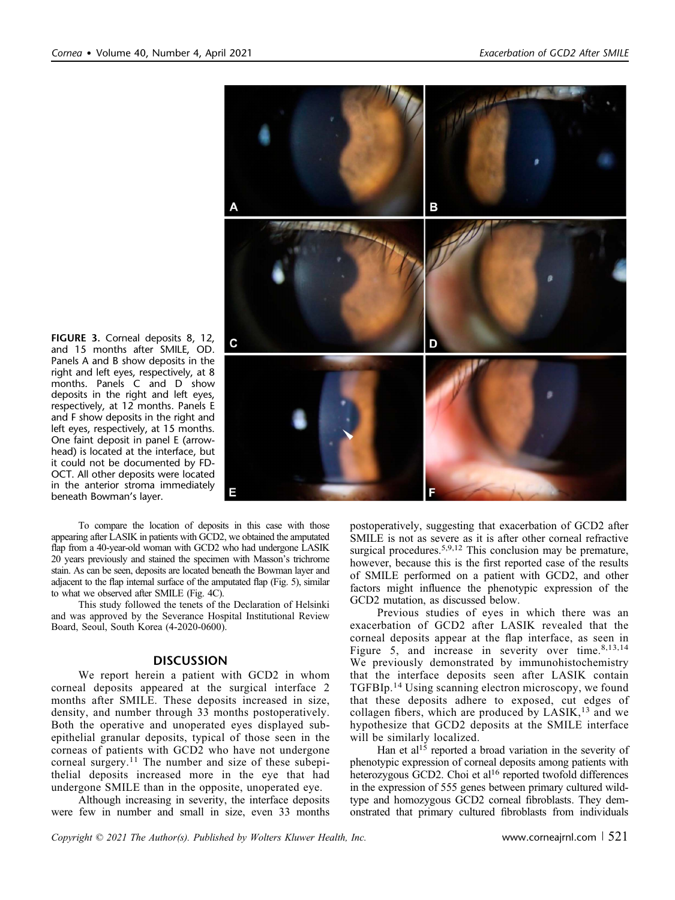

FIGURE 3. Corneal deposits 8, 12, and 15 months after SMILE, OD. Panels A and B show deposits in the right and left eyes, respectively, at 8 months. Panels C and D show deposits in the right and left eyes, respectively, at 12 months. Panels E and F show deposits in the right and left eyes, respectively, at 15 months. One faint deposit in panel E (arrowhead) is located at the interface, but it could not be documented by FD-OCT. All other deposits were located in the anterior stroma immediately beneath Bowman's layer.

To compare the location of deposits in this case with those appearing after LASIK in patients with GCD2, we obtained the amputated flap from a 40-year-old woman with GCD2 who had undergone LASIK 20 years previously and stained the specimen with Masson's trichrome stain. As can be seen, deposits are located beneath the Bowman layer and adjacent to the flap internal surface of the amputated flap (Fig. 5), similar to what we observed after SMILE (Fig. 4C).

This study followed the tenets of the Declaration of Helsinki and was approved by the Severance Hospital Institutional Review Board, Seoul, South Korea (4-2020-0600).

#### **DISCUSSION**

We report herein a patient with GCD2 in whom corneal deposits appeared at the surgical interface 2 months after SMILE. These deposits increased in size, density, and number through 33 months postoperatively. Both the operative and unoperated eyes displayed subepithelial granular deposits, typical of those seen in the corneas of patients with GCD2 who have not undergone corneal surgery.<sup>11</sup> The number and size of these subepithelial deposits increased more in the eye that had undergone SMILE than in the opposite, unoperated eye.

Although increasing in severity, the interface deposits were few in number and small in size, even 33 months postoperatively, suggesting that exacerbation of GCD2 after SMILE is not as severe as it is after other corneal refractive surgical procedures.<sup>5,9,12</sup> This conclusion may be premature, however, because this is the first reported case of the results of SMILE performed on a patient with GCD2, and other factors might influence the phenotypic expression of the GCD2 mutation, as discussed below.

Previous studies of eyes in which there was an exacerbation of GCD2 after LASIK revealed that the corneal deposits appear at the flap interface, as seen in Figure 5, and increase in severity over time.<sup>8,13,14</sup> We previously demonstrated by immunohistochemistry that the interface deposits seen after LASIK contain TGFBIp.<sup>14</sup> Using scanning electron microscopy, we found that these deposits adhere to exposed, cut edges of collagen fibers, which are produced by  $LASIK$ ,<sup>13</sup> and we hypothesize that GCD2 deposits at the SMILE interface will be similarly localized.

Han et al<sup>15</sup> reported a broad variation in the severity of phenotypic expression of corneal deposits among patients with heterozygous GCD2. Choi et al<sup>16</sup> reported twofold differences in the expression of 555 genes between primary cultured wildtype and homozygous GCD2 corneal fibroblasts. They demonstrated that primary cultured fibroblasts from individuals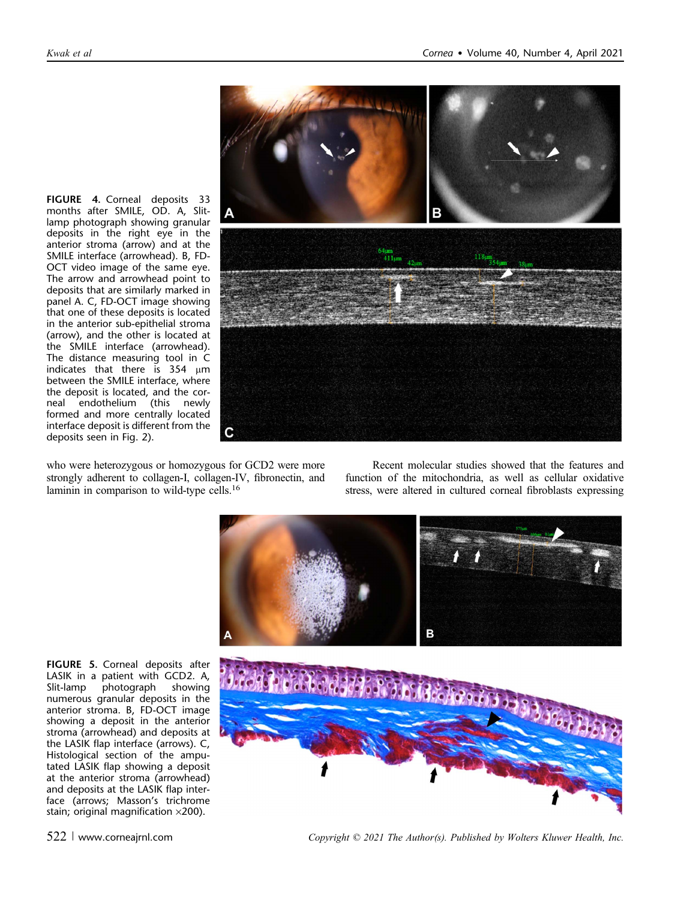

who were heterozygous or homozygous for GCD2 were more strongly adherent to collagen-I, collagen-IV, fibronectin, and laminin in comparison to wild-type cells.16

Recent molecular studies showed that the features and function of the mitochondria, as well as cellular oxidative stress, were altered in cultured corneal fibroblasts expressing



FIGURE 5. Corneal deposits after LASIK in a patient with GCD2. A, Slit-lamp photograph showing numerous granular deposits in the anterior stroma. B, FD-OCT image showing a deposit in the anterior stroma (arrowhead) and deposits at the LASIK flap interface (arrows). C, Histological section of the amputated LASIK flap showing a deposit at the anterior stroma (arrowhead) and deposits at the LASIK flap interface (arrows; Masson's trichrome stain; original magnification  $\times$ 200).

deposits seen in Fig. 2).

522 <sup>|</sup> www.corneajrnl.com Copyright © 2021 The Author(s). Published by Wolters Kluwer Health, Inc.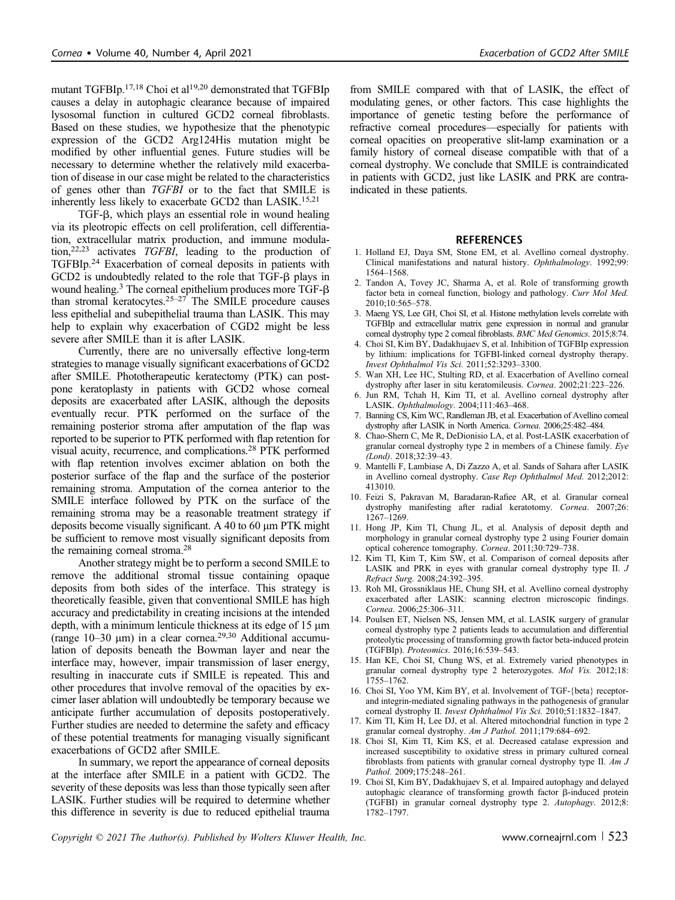mutant TGFBIp.<sup>17,18</sup> Choi et al<sup>19,20</sup> demonstrated that TGFBIp causes a delay in autophagic clearance because of impaired lysosomal function in cultured GCD2 corneal fibroblasts. Based on these studies, we hypothesize that the phenotypic expression of the GCD2 Arg124His mutation might be modified by other influential genes. Future studies will be necessary to determine whether the relatively mild exacerbation of disease in our case might be related to the characteristics of genes other than TGFBI or to the fact that SMILE is inherently less likely to exacerbate GCD2 than LASIK.<sup>15,21</sup>

TGF-b, which plays an essential role in wound healing via its pleotropic effects on cell proliferation, cell differentiation, extracellular matrix production, and immune modulation,22,23 activates TGFBI, leading to the production of TGFBIp.24 Exacerbation of corneal deposits in patients with GCD2 is undoubtedly related to the role that TGF- $\beta$  plays in wound healing. $3$  The corneal epithelium produces more TGF- $\beta$ than stromal keratocytes.<sup>25–27</sup> The SMILE procedure causes less epithelial and subepithelial trauma than LASIK. This may help to explain why exacerbation of CGD2 might be less severe after SMILE than it is after LASIK.

Currently, there are no universally effective long-term strategies to manage visually significant exacerbations of GCD2 after SMILE. Phototherapeutic keratectomy (PTK) can postpone keratoplasty in patients with GCD2 whose corneal deposits are exacerbated after LASIK, although the deposits eventually recur. PTK performed on the surface of the remaining posterior stroma after amputation of the flap was reported to be superior to PTK performed with flap retention for visual acuity, recurrence, and complications.28 PTK performed with flap retention involves excimer ablation on both the posterior surface of the flap and the surface of the posterior remaining stroma. Amputation of the cornea anterior to the SMILE interface followed by PTK on the surface of the remaining stroma may be a reasonable treatment strategy if deposits become visually significant. A 40 to 60  $\mu$ m PTK might be sufficient to remove most visually significant deposits from the remaining corneal stroma.<sup>28</sup>

Another strategy might be to perform a second SMILE to remove the additional stromal tissue containing opaque deposits from both sides of the interface. This strategy is theoretically feasible, given that conventional SMILE has high accuracy and predictability in creating incisions at the intended depth, with a minimum lenticule thickness at its edge of 15  $\mu$ m (range  $10-30 \mu m$ ) in a clear cornea.<sup>29,30</sup> Additional accumulation of deposits beneath the Bowman layer and near the interface may, however, impair transmission of laser energy, resulting in inaccurate cuts if SMILE is repeated. This and other procedures that involve removal of the opacities by excimer laser ablation will undoubtedly be temporary because we anticipate further accumulation of deposits postoperatively. Further studies are needed to determine the safety and efficacy of these potential treatments for managing visually significant exacerbations of GCD2 after SMILE.

In summary, we report the appearance of corneal deposits at the interface after SMILE in a patient with GCD2. The severity of these deposits was less than those typically seen after LASIK. Further studies will be required to determine whether this difference in severity is due to reduced epithelial trauma

from SMILE compared with that of LASIK, the effect of modulating genes, or other factors. This case highlights the importance of genetic testing before the performance of refractive corneal procedures—especially for patients with corneal opacities on preoperative slit-lamp examination or a family history of corneal disease compatible with that of a corneal dystrophy. We conclude that SMILE is contraindicated in patients with GCD2, just like LASIK and PRK are contraindicated in these patients.

#### **REFERENCES**

- 1. Holland EJ, Daya SM, Stone EM, et al. Avellino corneal dystrophy. Clinical manifestations and natural history. Ophthalmology. 1992;99: 1564–1568.
- 2. Tandon A, Tovey JC, Sharma A, et al. Role of transforming growth factor beta in corneal function, biology and pathology. Curr Mol Med. 2010;10:565–578.
- 3. Maeng YS, Lee GH, Choi SI, et al. Histone methylation levels correlate with TGFBIp and extracellular matrix gene expression in normal and granular corneal dystrophy type 2 corneal fibroblasts. BMC Med Genomics. 2015:8:74.
- 4. Choi SI, Kim BY, Dadakhujaev S, et al. Inhibition of TGFBIp expression by lithium: implications for TGFBI-linked corneal dystrophy therapy. Invest Ophthalmol Vis Sci. 2011;52:3293–3300.
- 5. Wan XH, Lee HC, Stulting RD, et al. Exacerbation of Avellino corneal dystrophy after laser in situ keratomileusis. Cornea. 2002;21:223–226.
- 6. Jun RM, Tchah H, Kim TI, et al. Avellino corneal dystrophy after LASIK. Ophthalmology. 2004;111:463–468.
- 7. Banning CS, Kim WC, Randleman JB, et al. Exacerbation of Avellino corneal dystrophy after LASIK in North America. Cornea. 2006;25:482–484.
- 8. Chao-Shern C, Me R, DeDionisio LA, et al. Post-LASIK exacerbation of granular corneal dystrophy type 2 in members of a Chinese family. Eye (Lond). 2018;32:39–43.
- 9. Mantelli F, Lambiase A, Di Zazzo A, et al. Sands of Sahara after LASIK in Avellino corneal dystrophy. Case Rep Ophthalmol Med. 2012;2012: 413010.
- 10. Feizi S, Pakravan M, Baradaran-Rafiee AR, et al. Granular corneal dystrophy manifesting after radial keratotomy. Cornea. 2007;26: 1267–1269.
- 11. Hong JP, Kim TI, Chung JL, et al. Analysis of deposit depth and morphology in granular corneal dystrophy type 2 using Fourier domain optical coherence tomography. Cornea. 2011;30:729–738.
- 12. Kim TI, Kim T, Kim SW, et al. Comparison of corneal deposits after LASIK and PRK in eyes with granular corneal dystrophy type II. J Refract Surg. 2008;24:392–395.
- 13. Roh MI, Grossniklaus HE, Chung SH, et al. Avellino corneal dystrophy exacerbated after LASIK: scanning electron microscopic findings. Cornea. 2006;25:306–311.
- 14. Poulsen ET, Nielsen NS, Jensen MM, et al. LASIK surgery of granular corneal dystrophy type 2 patients leads to accumulation and differential proteolytic processing of transforming growth factor beta-induced protein (TGFBIp). Proteomics. 2016;16:539–543.
- 15. Han KE, Choi SI, Chung WS, et al. Extremely varied phenotypes in granular corneal dystrophy type 2 heterozygotes. Mol Vis. 2012;18: 1755–1762.
- 16. Choi SI, Yoo YM, Kim BY, et al. Involvement of TGF-{beta} receptorand integrin-mediated signaling pathways in the pathogenesis of granular corneal dystrophy II. Invest Ophthalmol Vis Sci. 2010;51:1832–1847.
- 17. Kim TI, Kim H, Lee DJ, et al. Altered mitochondrial function in type 2 granular corneal dystrophy. Am J Pathol. 2011;179:684–692.
- 18. Choi SI, Kim TI, Kim KS, et al. Decreased catalase expression and increased susceptibility to oxidative stress in primary cultured corneal fibroblasts from patients with granular corneal dystrophy type II. Am J Pathol. 2009;175:248–261.
- 19. Choi SI, Kim BY, Dadakhujaev S, et al. Impaired autophagy and delayed autophagic clearance of transforming growth factor  $\beta$ -induced protein (TGFBI) in granular corneal dystrophy type 2. Autophagy. 2012;8: 1782–1797.